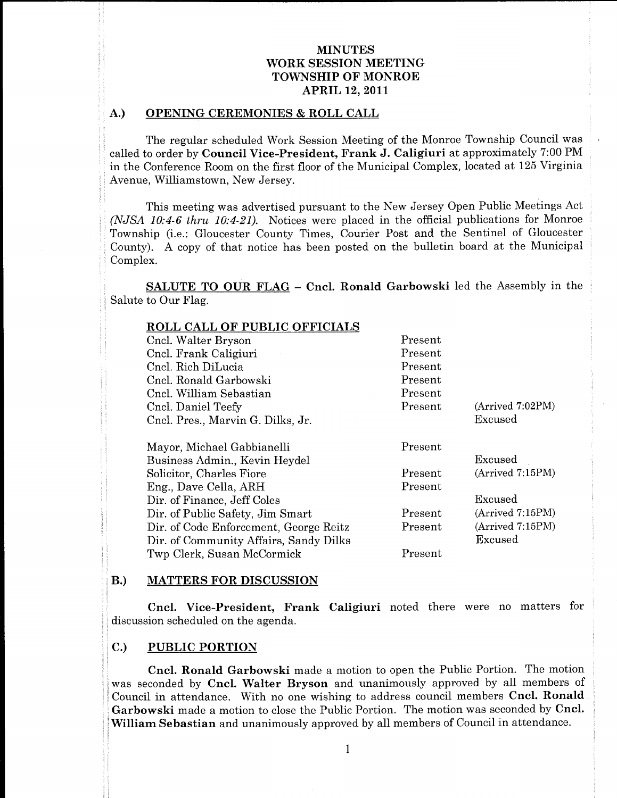# MINUTES WORK SESSION MEETING TOWNSHIP OF MONROE **APRIL 12, 2011**

# A.) OPENING CEREMONIES & ROLL CALL first Cncl  $\mathbf{A}$ .) OPE

| the contract of the contract of the contract of the contract of the contract of the contract of the contract of |  |  |  |
|-----------------------------------------------------------------------------------------------------------------|--|--|--|
|                                                                                                                 |  |  |  |
|                                                                                                                 |  |  |  |
|                                                                                                                 |  |  |  |
|                                                                                                                 |  |  |  |
|                                                                                                                 |  |  |  |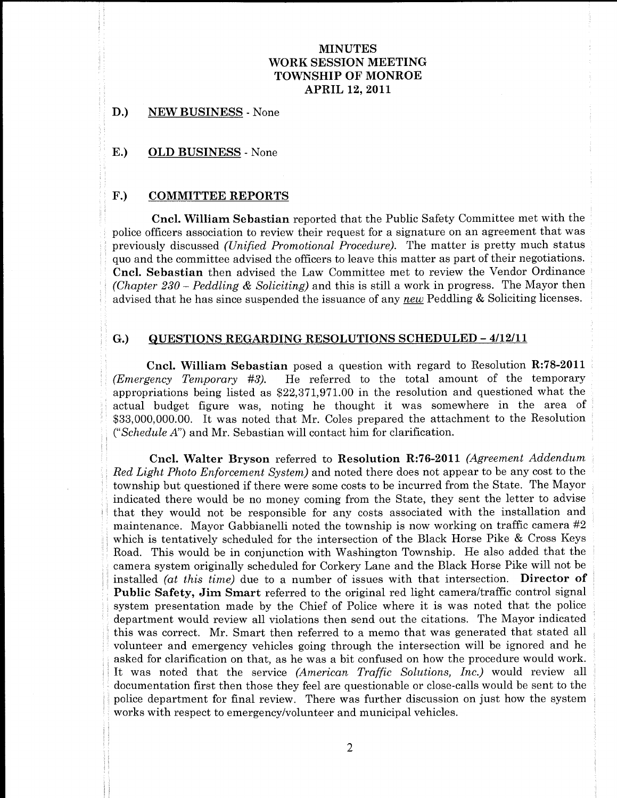# MINUTES WORK SESSION MEETING TOWNSHIP OF MONROE APRIL 12, 2011 M<br>
WORK SE<br>
TOWNSH<br>
APF

The second contract of the second contract of the second contract of the second contract of the second contract of the second contract of the second contract of the second contract of the second contract of the second cont

the components of

SCHEDULED GEWEI

a

D.) NEW BUSINESS - None

to the contract of the contract of

in the contract of the contract of the contract of the contract of the contract of the contract of the contract of

was a structure of the control of the control of the control of the control of the control of the control of

for

Lane and the control of the control of

E.) OLD BUSINESS - None

### F.) COMMITTEE REPORTS

Cncl. William Sebastian reported that the Public Safety Committee met with the police officers association to review their request for a signature on an agreement that was mittee met with the<br>agreement that was<br>pretty much status<br>f their negotiations.<br>Vendor Ordinance<br>ss. The Mayor then<br>Soliciting licenses.<br>4/12/11<br>solution R:78-2011<br>of the temporary ety Committee met with the<br>
e on an agreement that was<br>
atter is pretty much status<br>
as part of their negotiations.<br>
view the Vendor Ordinance<br>
1 progress. The Mayor then<br>
ddling & Soliciting licenses.<br>
ULED – 4/12/11<br>
rd

matters. The AMERICAN SECTION AND TRIVIES AND RESERVATION CONSUMER TRANSFER (ARRESTS AND ANN INCREASE AND ARRESTS AND ARRESTS AND A CONSUMER SECTION (ARRESTS AND A CONSUMER SECTION CONSUMER TRANSFER (ARRESTS AND TRIVIES A MENTURE STATISTICS TOWARD INTERTACK TOWARD INTERTACK TOWARD INTO A MANUFACT CONTINUES.<br>
TOWARD INTERTACK AND INTERTACK AND A SUBSERIES AND A SUBSERIES AND A SUBSERIES AND A SUBSERIES AND A SUBSERIES AND A SUBSERIES AND A MINUTES WORK SENSION MENTING TOWARD IN OUR CONSULTER TOWARD IN THE CASE (SEE TO MANUS A 1997). CONNECTING A 1997 (CONNECTING A 1997) (CALC METHOD AND SERVE CONNECTING SERVE CONNECTING AND INTERFERENCE CONNECTING SERVE CON MINUTES (WORK SESSION MIDDINES (TOWAGE) (WORK SESSION MIDDINES (TOWAGE) (WORK SESSION MIDDINES (SERVICE) (APROLUME AREA (APROLUME AREA (APPORT) (SERVICE) (SERVICE) (SERVICE) (SERVICE) (SERVICE) (SERVICE) (SERVICE) (SERVIC **MINUTES**<br>**MINUTES**<br>**SERSION MEETING**<br>**SERSION MEETING**<br>**SERSION MEETING**<br>**APRIL 12, 2011**<br>**APRIL 12, 2011**<br>**APRIL 12, 2011**<br>*APRIL 12, 2011*<br>*Appending IPocality). The matter is pretty much status states in<br><i>Signary* Com TES<br>
TES<br>
NN MEETING<br>
NE MONROE<br>
F MONROE<br>
PLONROE<br>
2. 2011<br>
2. 2011<br>
2. 2011<br>
2. 2011<br>
2. 2011<br>
2. 2011<br>
2. 2011<br>
2. 2011<br>
2. 2011<br>
2. 2011<br>
2. 2012<br>
2. 2012<br>
2. 2012<br>
2. 2012<br>
2. 2012<br>
2. 2012<br>
2. 2012<br>
2. 2012<br>
2. 2012 **EETING**<br> **EETING**<br> **Public Safety Committee met with the a signature on an agreement that was<br>
red. The matter is pretty much status<br>
in is matter as part of their negotiations.<br>
In the matter as part of their negotiatio** NORK SUSSION STRETTING<br>
TOWNSHIP OF MONEOLE TOWARDOS<br>
NEUELLES. TOWARDOS STEETING<br>
INSTINCES<br>
NEUELLES. APON<br>
APELLE 12, 2011<br>
NEUELLES. APON<br>
NEUELLES. Neuelles (Neuelles Safety Committee met with the association to revi **EETING**<br> **EETING**<br> **EETING**<br> **ENOTIAGE STATE COMMITME EXECUTE TO THE TO A SUMMADE IT (1)**<br>
The matter is pretty much status his matter is pretty much status<br>
in matter is pretty much status<br>
any *new* in progress. The Ma y Committee met with the<br>on an agreement that was<br>part of their regotiations.<br>gart of their regotiations,<br>even the Vendor Ordinance<br>progress. The Mayor then<br>dling & Soliciting licenses.<br>JLED – 4/12/11<br>1 to Resolution R:78 MINUTES<br>
WORK SENSION MENTING<br>
TOWNSTHE OF MONOR WEIGHT CONTING<br>
TOWN EUSINE ESS (ON MENTING PROTOCONTING)<br>
D.) CIEN EUSINESS - News<br>
P.S. COMMITTEE REPORTER<br>
COMMITTEE REPORTER<br>
COMMITTEE REPORTER<br>
COMMITTEE REPORTER<br>
CO **NEW THE SET AND MATTER SECTION INTERFERIOR CONSUMER SECTION AND MATTERS (2018) SET AND ANNUAL HERE AND ANNUAL HERE AND A SURFACE OF A CONSUMERATION CONSULTING THE SET AND ANNUAL HERE AND MATTERS IN EVALUATION CONSULTING** poison different association to review their requisits for a significant on an appearant that was particularly the<br>members of Confederation (Procedure). The nature are precisely reduced a<br>grow and the committee system in **NEW ARRISTS FOR A CONSUMERATION**<br> **NEW ARRISTS FOR A CONSUMERTING**<br> **NEW RESERVENCE TO MANUELLE ASSESS ON METHEMATION CONSUMERER CONSUMERER CONSUMERER CONSUMERER CONSUMERER CONSUMERER CONSUMERER CONSUMERER CONSUMERER CON NEW ARRISTS WANTER CONSUMERTIES**<br> **NEW ARRISTS WANTER ONE CONSUMERTS**<br> **Here NEW ARRISTS WANTER (2018)**<br> **Here NEW ARRISTS WANTER CONSUMERER**<br> **EQ.**<br> **COLUMPITENTS**<br> **COLUMPITENTS**<br> **COLUMPITENTS**<br> **COLUMPITENTS**<br> **C NEW ARTISTS**<br> **NEW YOUTERS**<br> **SERVING THE CONSULTING**<br> **SERVING THE CONSULTING**<br> **SERVING THE CONSULTING**<br> **EXERCISE THE CONSULTING THE CONSULTING**<br> **EXERCISE THE CONSULTING TO AN ATTACT AND A SERVING TO A CONSULTING THE INTOTES**<br> **INFORMATION CONTRACTIVES**<br> **INFORMATION CONTRACTIVES**<br> **IDENTIFIES CONTRACTIVES**<br> **IDENTIFIES EXECUTIVES**<br> **IDENTIFIES EXECUTIVES**<br> **IDENTIFIES EXECUTIVES**<br> **IDENTIFIES EXECUTIVES**<br> **IDENTIFIES EXECUTIVES**<br> **C NORMAL CONSECOND CONTROL CONSECOND** CONSECOND CONSECOND CONSECOND CONSECOND CONSECOND CONSECOND CONSECOND CONSECOND CONSECOND CONSECOND CONSECOND CONSECOND CONSECOND CONSECOND CONSECOND CONSECOND CONSECOND CONSECOND CO **MINOTES**<br> **MINOTES**<br> **ATTENTS (AND ANY CONTENT) CONTENTING**<br> **B**<br> **CONTENTING**<br> **B**<br> **CONTENTENTS (AND ANY CONTENT) CONTENTS (AND ANY CONTENT) CONTENTS (AND ANY CONTENTS (CONTENTS) CONTENTS (AND ANY CONTENTS (CONTENTS) C** MINUTES (WORK SESSION MIDDINES (TOWAGE) TO MONETARY (TOWAGE) (SEE THE SEE THE SEE THE SEE THE SEE THE SEE THE SEE THE SEE THE SEE THE SEE THE SEE THE SEE THE SEE THE SEE THE SEE THE SEE THE SEE THE SEE THE SEE THE SEE THE **MATERIA MATERIAL MATERIAL MATERIAL MATERIAL MATERIAL MATERIAL MATERIAL MATERIAL MATERIAL MATERIAL MATERIAL MATERIAL MATERIAL MATERIAL MATERIAL MATERIAL MATERIAL MATERIAL MATERIAL MATERIAL MATERIAL MATERIAL MATERIAL MATER** MINUTES (WORK RESSION MIDDINES (TOWAGET DE VALUE AND MINUTES (TOWAGET DE VALUE AND MINUTES (SEE ALL 2011)<br>
19. STEW FURNITSESS . Now A AND 2010 12:2011<br>
19. STEW FURNITSESS . Now A AND 2010 12:2011<br>
19. STEW FURNITSESS . NORMAL PROPERTY AND MATCHES (NORMAL PROPERTY AND MATCHES (NORMAL PROPERTY) (NORMAL PROPERTY AND MATCHES (NORMAL PROPERTY) (NORMAL PROPERTY AND MATCHES (NORMAL PROPERTY) (NORMAL PROPERTY) (NORMAL PROPERTY) (NORMAL PROPERTY MINUTENT WORK SERISHON METERS TOWARD TOWARD TOWARD TOWARD TOWARD TOWARD TOWARD TOWARD TOWARD TOWARD TOWARD A SUBMISSION CONTROL AND THE SERIES (Series and the series of the series of the series of the series of the series **NORTHER SECOND CONSECTED FOR A SECOND CONSECTED AND AN ARTIST SECOND MATERIES.**<br> **THE CONSECTED AN ARTIST SECOND MATERIES** And A SECOND MATERIES AND A SECOND MATERIES AND A SECOND MATERIAL SECOND MATERIAL SECOND MATERIAL XIVENTES WORKS SENSION MIGHTING TOWATHER (WATHER ON MONETARY 1990) (NEW RESERVENT MIGRISHS (ARRESS) (ARRESS) (ARRESS) (ARRESS) (ARRESS) (ARRESS) (ARRESS) (ARRESS) (ARRESS) (ARRESS) (ARRESS) (ARRESS) (ARRESS) (ARRESS) (ARR MINUTES WORK SENSION MEETING<br>
TOWER THE COMMISSION CONSULTERS<br>
TOWER THE SENSION MEETING<br>
TOWER THE SENSION MEETING<br>
A FIRE OF A SOMETIME AGENCY AND CONSULTER<br>
TO COMMITTEE REPORTING<br>
FOR COMMITTEE REPORTING TO MOVEMBER S MINUTES<br>
WORK SESSION METTING<br>
TOWNSHIP OF MONROE TOWNER<br>
TOWNSHIP OF MONROE TOWNSHIP OF MONROE TOWNSHIP OF MONROE TOWNSHIP OF MONROE TOWNSHIP OF MONROE CREAT CREAT CARR (SEE TO A COMPARTED CALCULTURE SCENE CARR (SEE TOWN XINCTES<br>
WORK SESSION MICTIES<br>
TOWNSHIP OF MONROES<br>
TOWNSHIP OF MONROES<br>
12.3 (TOWNSHIP OF MONROES<br>
13.3 (TOWNSHIP OF MONROES<br>
13.3 (TOWNSHIP OF MONROES<br>
13.3 (TO MAINTEER REPORTER<br>
14.2 (TO MAINTEER REPORTER<br>
15.3 (COM) MINUTES (MORE SESSION MEDITING)<br>
TOWER SESSION MEDITING (NOTE)<br>
TOWER SESSION MEDITING (SOMETHE AT 2011)<br>
12. APRIL 12. 2011<br>
13. APRIL 12. 2011<br>
13. APRIL 12. 2011<br>
13. APRIL 12. 2011<br>
13. APRIL 12. 2011<br>
14. APPI 12. AP MINUTES<br>
YOUR SEISSION MESTERS<br>
YOUR SEISSION MESTERS<br>
YOUR SEISSION MESTERS<br>
YOUR DESINESS - New COMMON SERVICE TO PROTECT THE STATE OF A COMMON SERVICE TO THE STATE OF A CONSULTABLE COMMON SERVICE TO THE COMMON CONSULTA **MINUTES WORK SENSON VERTIES (WERENDON METATES (WERENDON METATES (WERENDON METATES)**<br> **EVALUATIONS AND ARTIST (WERENDON METATES)**<br> **EVALUATIONS AND ARTIST (WERENDON METATES)**<br> **EVALUATIONS AND ARTIST (WERENDON METATES)**<br> MINUTES (WORK SESSION MIDDINES (TOWAGE) (WORK SESSION MIDDINES (TOWAGE) (WORK SESSION MIDDINES (SERVICE) (APROLUME AREA (APROLUME AREA (APPORT) (SERVICE) (SERVICE) (SERVICE) (SERVICE) (SERVICE) (SERVICE) (SERVICE) (SERVIC MINUTENE WORK SENSION MERTING TOWALITE SURFACE CONNECTIVE CONTINUES. AND INTEREST CONTINUES AND ARREST CONTINUES AND ANNOUNCED AND ANNOUNCED AND ARREST ON A CONTINUES AND A CONTINUES AND A CONTINUES AND A CONTINUES AND A **NEW ARTISTS**<br> **CONSUMERTING**<br> **CONSUMERTING**<br> **CONSUMERTING**<br> **CONSUMERTING**<br> **CONSUMERTING**<br> **CONSUMERTING**<br> **CONSUMERTING**<br> **CONSUMERTING**<br> **CONSUMERTING**<br> **CONSUMERTING**<br> **CONSUMERTING**<br> **CONSUMERTING**<br> **CONSUMERTING** areas on the same of the same of the same of the same of the same of the same of the same of the same of the same of the same of the same of the same of the same of the same of the same of the same of the same of the same ty Committee met with the<br>on an agreement that was<br>so and to their negotiations.<br>So part of their negotiations.<br>Figure Welcher or Crimance<br>progress. The Mayor then<br>diding & Soliciting licenses.<br>ULED  $-4/12/11$ <br>d to Resolu fety Committee met with the was matter is pretty much status as part of the inspection as a grand their megotiations.<br>
as part of their negotiations.<br>
in progress. The Mayor then<br>
in progress. The Mayor then<br>
in progress. ty Committee met with the<br>on an agreement that was<br>s part of their negotiations.<br>So part of their negotiations.<br>Figure Welcontrol Continuate<br>progress. The Mayor then<br>diding & Soliciting licenses.<br>ULED  $-4/12/11$ <br>d to Reso Committee met with the<br>
n an agreement that was<br>
ner is pretty much status<br>
part of their negotiations.<br>
we the Nedor Ordinance<br>
rogress. The Mayor then<br>
ning & Soliciting licenses.<br>
LED – 4/12/11<br>
to Resolution R:78-2011 safety Committee met with the same on an agreement that was matter is pretty much status review the Vendor Ordinance review the Vendor Ordinance in progress. The Mayor then Beddling & Soliciting licenses.<br> **EDULED – 4/12/1** fety Committee met with the and<br>nature is persument that was<br>nature is persument that was<br>nature is persument that was<br>as part of their negotiations.<br>in progress. The Mayor then<br>in progress. The Mayor then<br>delding & Solici **NEW ARRISTS WANTER CONSUMERTIES**<br> **NEW ARRISTS WANTER ONE CONSUMERTS**<br> **THE CONSUMERY CONSUMERATY CONSUMERATY CONSUMERATY CONSUMERATION**<br> **EQ.** OLD REGISTINGS FROM A AND LEADER AND A SURFACE CONSUMER THE CONSUMERATION CO SINUITIES WORK SEISTION MENTINE TO MONIC IN THE CONSUMITIES TOWARD IN CONSUMITE TO MONIC IN A 2011 CONSUMER A CONSUMERATION OF A 2011 CONSUMER A CONSUMER SUPPRESS (None Consumer and the Consumer and the Consumer and the C documentation camera system originally scheduled for Corkery Lane and the Black Horse Pike will not be installed (*at this time)* due to a number of issues with that intersection. Director of Public Safety, Jim Smart referred to the or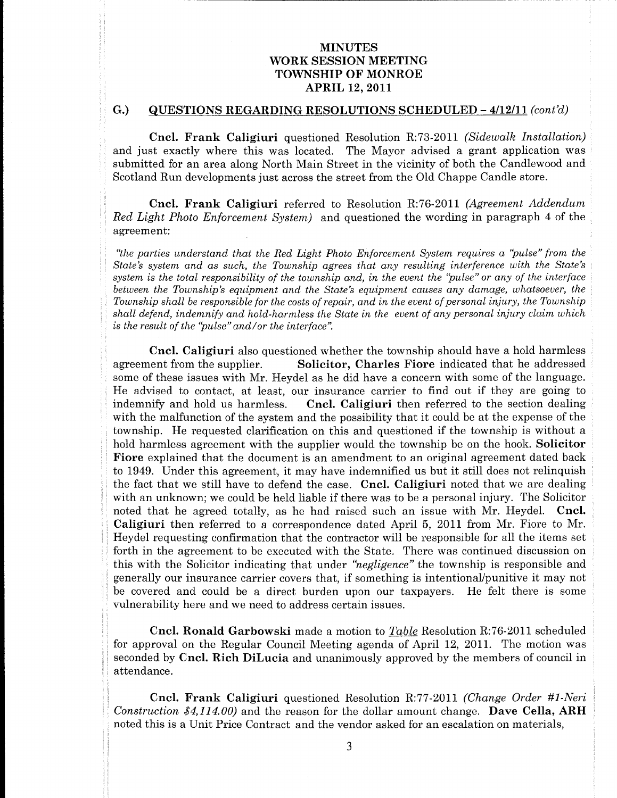# MINUTES WORK SESSION MEETING TOWNSHIP OF MONROE **APRIL 12, 2011**

motion and the contract of the contract of the contract of the contract of the contract of the contract of the

inattendance

Mr

any area of the contract of the contract of the contract of the contract of the contract of

Caligiuri

Caligiuri

the contract of the contract of the contract of the contract of the contract of the contract of the contract of

was a state of the contract of the contract of the contract of the contract of the contract of the contract of

and the state of the state of the

of these

### G.) QUESTIONS REGARDING RESOLUTIONS SCHEDULED -  $4/12/11$  (cont'd)

Cncl. Frank Caligiuri questioned Resolution R:73-2011 (Sidewalk Installation) and just exactly where this was located. The Mayor advised a grant application was submitted for an area along North Main Street in the vicinity of both the Candlewood and Scotland Run developments just across the street from the Old Chappe Candle store.

"the parties understand that the Red Light Photo Enforcement System requires a "pulse" from the<br>State's system and as such, the Township agrees that any resulting interference with the State's

WORK SERIOUTES WANTERS WANTERS WANTERS WANTERS WANTERS WANTERS WANTERS WANTERS WANTERS WANTERS (1997) 2001 1997) (1997) 2001 1997) (1998) 2002 1997) (1998) 2003 1997) (1998) 2003 1998) (1998) 2003 1998) (1998) 2003 1999) **NET ANYION SECTION CONTRACTIVES**<br> **NET ANYION SECTION SECTION SECTION SECTION SECTION SECTION SECTION SECTION SECTION SECTION SECTION SECTION SECTION SECTION SECTION SECTION SECTION SECTION SECTION SECTION SECTION SECTIO** VINCULES TOWER INTERNATION (WINTERS TOWER INTERNATION CONTRACT) CONTRACT TOWER INTERNATION (CAL EVALUATER) (CAL EVALUATER) (CAL EVALUATER) (CAL EVALUATER) (CAL EVALUATER) (CAL EVALUATER) (CAL EVALUATER) (CAL EVALUATER) (C **EXAMPLE SET AND AN ARTISTS INTO A SURFACE IN A SURFACE SET AND AN ARTISTS IN A SURFACE SET AND AN ART UNIT AND INTERFERENCE AND ART UNIT AN ART UNIT AN ART UNIT AN ART UNIT AN ART UNIT AN ART UNIT AN ART UNIT AN ART UNIT**  $\begin{tabular}{ll} \textbf{WINUITES} & \textbf{WINUITES} & \textbf{WINUITES} \\ \textbf{WINEITES} & \textbf{WINEITES} & \textbf{WINEITES} \\ \textbf{10} & \textbf{SUESEIDOS REGAMLUM} & \textbf{AFSEID} & \textbf{AFSEID} \\ \textbf{11} & \textbf{12} & \textbf{13} & \textbf{14} \\ \textbf{12} & \textbf{13} & \textbf{14} & \textbf{15} \\ \textbf{13} & \textbf{14} & \textbf{15} & \textbf{16} \\ \textbf{14} &$ maning since non-to-solar comparation of the system and the possibility that it could be at the separas of the<br>with the malitanchion of the system and the possibility that it could be at the separas of the<br>loweship. He re **TOOK SENSION METATES (FOR AUTHOR SENSION METATOR)**<br> **TOOK SENSION METATOR**<br> **COMPARIES (FOR AUTHOR SENSION METATOR SENSION METATOR SENSION METATOR (FOR AUTHOR SENSION METATOR SENSION METATOR SENSION ASSOCIATED (FOR AUTHO** WORK SERION FIRST TWO WAS CONTINUES WITHOUT SURFACE IN A SHARIFIED WAS CONSULTED 40 (2001) 2001). The shall be consulted as a state of the shall be consulted as a state of the shall be consulted as a state of the shall be **NORTHESE TOWARD STATES (SEE AND ANTIFIXED FRAME STATE OF A STATE OF A STATE OF A STATE OF A STATE OF A STATE OF A STATE OF A STATE OF A STATE OF A STATE OF A STATE OF A STATE OF A STATE OF A STATE OF A STATE OF A STATE O SUBATURE SECTION SUCHER CONSUMERATION CONSUMERATION CONSUMERATION CONSUMERATION CONSUMERATION CONSUMERATION CONSUMERATION CONSUMERATION (Solid and the set of the set of the set of the set of the set of the set of the set SUBATURE SET CONSULTER SUBARUM (SUBATURE SUBARUM SUBATURE)**<br> **SUBARUM SUBARUM SUBARUM SUBARUM SUBARUM SUBARUM SUBARUM SUBARUM SUBARUM SUBARUM SUBARUM SUBARUM SUBARUM SUBARUM SUBARUM SUBARUM SUBARUM SUBARUM SUBARUM SUBARU WORK SYSTEM STATES (SEE AND ANTERISHOND FRAME SYSTEM STATES)**<br> **SYSTEM SYSTEM STATES (SEE AND ANTERISHONG FRAME SYSTEM STATES)**<br> **COURATIONS BEGARDING RESOLUTIONS SCIENCILED – CO2/11** (ConVe)<br>
and Courier Courier Courier **WORK SURVENTS WEIGHTS WEIGHTS WEIGHTS WEIGHTS WEIGHTS WEIGHTS WEIGHTS WEIGHTS WEIGHTS WEIGHTS AND MATERIAL ART AND MATERIAL ART AND MATERIAL ART AND MATERIAL ART AND MATERIAL ART AND MATERIAL ART AND MATERIAL ART AND MAT INNEE TEND MATHEMATICS**<br> **INVESTIGATION INTERVALUE CONSUMERATION INTERVALUE CONSUMERATION INTO A SURVADURE CONSUMERATION INTERVALUE (Solid A Frank Collideration in the Mathematics of the solid of the solid of the solid o** SINGUISTES<br>
VOIDE SINGUA MENTING<br>
VOIDE SINGUA MENTING<br>
VOIDE SINGUA MENTING<br>
VOIDE SINGUA MENTING<br>
Co. COMETABLE COMETABLE CONSIDER CONSIDER CONSIDERATION (Sensor Area/tories)<br>
and Frank Collidator operations (Sensor Are is the result of the "pulse" and/or the interface".<br> **Cncl. Caligiuri** also questioned whether the township should have a hold harmless<br>
agreement from the supplier. Solicitor, Charles Fiore indicated that he addressed hold harmless agreement with the supplier would the township be on the hook. Solicitor Fiore explained that the document is an amendment to an original agreement dated back **Caligiuri** then referred to a correspondence dated April 5, 2011 from Mr. Fiore to Mr. Heydel requesting confirmation that the contractor will be responsible for all the items set forth in the agreement to be executed wit **NET ANYIONS**<br> **CONSECTION CONTROVIDENTS (CONSECTING)**<br> **CONSECTION CONSECTING**<br> **CONSECTION CONSECTION CONSECTING**<br> **CONSECTION SECONDITIES**<br> **CONSECTION SECONDITIES**<br> **CONSECTION CONSECTION CONSECTION CONSECTION CONSECT EVALUATE SCHAPERS (FOR ASSEMATING)**<br> **FOOD ASSEMUND VALUATION**<br> **FOOD ASSEMUND VALUATION**<br> **CONSIDENTIFY (FOR ASSEMATING)**<br> **CONSIDENTIFY (FOR ASSEMATING)**<br> **CONSIDENTIFY (FOR A FRAME CONSIDER A FRAME CONSIDER ASSEMBLATE FORD MATHEMS INTEREST (INTEREST)**<br> **CONTEXT (ASSOC) CONTEXT** (INTEREST) (INTEREST) (INTEREST) (INTEREST) (INTEREST) (INTEREST) (INTEREST) (INTEREST) (INTEREST) (INTEREST) (INTEREST) (INTEREST) (INTEREST) (INTEREST) (IN **SUBATURE SECTION SUCHER CONSUMERATION SUCH ASSESSION NEETING (SURFACE SURFACE SURFACE SURFACE SURFACE SURFACE SURFACE SURFACE SURFACE SURFACE SURFACE SURFACE SURFACE SURFACE SURFACE SURFACE SURFACE SURFACE SURFACE SURFAC WORK SURVERSY WANTERS WEIGHTS WANTERS WANTERS WANTERS WANTERS WANTERS WANTERS WANTERS WANTERS WANTERS WANTERS WANTERS WANTERS WANTERS WANTERS WANTERS WANTERS WANTERS WANTERS WANTERS WANTERS WANTERS WANTERS WANTERS WANTER EVALUATION CONTINUOUS CONTINUOUS CONTINUOUS CONTINUOUS CONTINUOUS CONTINUOUS CONTINUOUS CONTINUOUS CONTINUOUS CONTINUOUS CONTINUOUS CONTINUOUS CONTINUOUS CONTINUOUS CONTINUOUS CONTINUOUS CONTINUOUS CONTINUOUS CONTINUOUS EVALUATE SCHAPERS (FOR ASSEMBATIVE)**<br>
YOTH SENSION METATIVE)<br>
YOTH SENSION METATIVE)<br>
(A) QUESTIONS REGARDING RESOLUTIONS SCHEDULED-CERE)<br>
(A) QUESTIONS REGARDING RESOLUTIONS SCHEDULED-CERE)<br>
(A) COMPARISHED AND METATIVE expenseof **NET ANYIONS**<br> **CONSECTION CONTRACTIVES**<br> **CONSECTION CONSECTIVES**<br> **CONSECTION CONSECTION CONSECTIVES**<br> **CONSECTION CONSECTION CONSECTIVES**<br> **CONSECTION CONSECTION CONSECTION CONSECTIVES**<br> **CONSECTION CONSECTION CONSECTI SURGENTIES**<br> **WORKSHIPS (STEADING SURGENTS)**<br> **WORKSHIPS (STEADING SURGENTS)**<br> **CONSTRAINTERS**<br> **CONSTRAINTERS**<br> **CONSTRAINTERS**<br> **CONSTRAINTERS**<br> **CONSTRAINTERS**<br> **CONSTRAINTERS**<br> **CONSTRAINTERS**<br> **CONSTRAINTERS**<br> **CONS** WHETERS MOVIES TRANSPORTED CONTRACTING (WINDOW THE SECOND METALLIFETY). THE SECOND METALLIFETY (SECOND METALLIFETY) SCIENCOLUME TRANSPORTED AND ASSESS TO CONTRACT CONTRACT CONTRACT CONTRACT CONTRACT CONTRACT CONTRACT CONT VINCUTES<br>
WORK-SESSION METTING<br>
TOWNSHIT OF ANOVATORE TOWNSHIT (1990)<br>
TOWNSHIT OF ANOVATORE TOWNSHIT ON THE SURVAINT OF A SURVAINTION (1991)<br>
(5) <u>OLUESTINGS REGION DURIS TOWN FOR SIGNIFICANTS (2004)</u><br>
and just cased by VORK SERSHOW SIERUNGER<br>
VORK SERSHOW REIETN CONSERVENCE CONTENENT (SOMETIVE SERVE DE CONTENET (SOMETIVE DE CONTENET (SOMETIVE DE CONTENET (SOMETIVE DE CONTENET (SOMETIVE DE CONTENET (SOMETIVE DE CONTENET (SOMETIVE DE CONT VORK SINGRON MIKITING<br>
VORK SINGRON MIKITING<br>
VORK SINGRON MIKITING<br>
Co. GCLESTILONS REGARDING TOWNHITE (1991) 2002<br>
Co. GCLESTILONS REGARDING SCHEME (1992) 2013<br>
Co. GCLESTILONS REGARDING SCHEME (1993) 2013<br>
Co. GCLESTIL **NET ANYIONS**<br> **NET ANYIONS INTERVIEWS (FOR ANYIONS INTERVIEWS)**<br> **CONSERVATE CONSERVATE CONSERVATE CONSERVATE CONSERVATE CONSERVATE CONSERVATE CONSERVATE CONSERVATE CONSERVATE CONSERVATE CONSERVATE CONSERVATE CONSERVATE WORK SERVICES**<br>
WORK SERVICES (WORKSHOOD MENTING)<br>
WORKSHOOD MENTING)<br>
COMESTIONS EXECUTIONS (ENGLISHED AND MENTING)<br>
Come Press, COLLIFED AND MENTING (ENGLISHED AND MENTING)<br>
Come Press, COLLIFED AND MENTING SCIENCE (EN WORK SENSON SHOW THE MORE SENSON SHOW THE MORE SENSON SHOW THE MORE SENSON SHOW THE MORE SENSON SHOW THE 14 AUTHOR CONTINUES THE MORE SENSON SHOW THE MORE SENSON SHOW THE MORE SENSON SHOW THE MORE SENSON SHOW THE SENSON S **WORKSHOW MEETING**<br> **WORKSHOW NETTING**<br> **WORKSHOW NETTING**<br> **WORKSHOW NETTING**<br> **WORKSHOW NETTING**<br> **COLL FIGURE 10 MANOS INTERFECT (***WORKSHOW NETTING)***<br>
<b>COLL FIGURE COLLECT GUIDELES**<br> **COLL FIGURE COLLECT GUIDELES**<br> **CO** MINUTES<br>
VOID MINUTES<br>
VOID MINUTES<br>
VOID MINUTES<br>
VOID MINUTES<br>
VOID MINUTES<br>
CON TREATIVATION REGIARD VARIATION (1996)<br>
Cond. From K. Galigiant quasizoned Reachado R. 76:2011 (Sometic from<br>Action conditions are the seco ULED  $-4/12/11$  (cont'd)<br>111 (Sidewalk Installation)<br>12 a grant application was<br>5 both the Candlewood and<br>12 a grant application was<br>12 for the Candlewood and<br>111 (Agreement Addendum<br>11 gin paragraph 4 of the<br>12 interfere **DULED - 4/12/11** (cont'd)<br>
2011 (Sidewalk Installation)<br>
seed a grant application was<br>
seed a grant application was<br>
of both the Candlewood and<br>
Chappe Candle store.<br>
2011 (Agreement Addendum<br>
ording in paragraph 4 of th **EETING**<br> **EETING**<br> **EETING**<br> **ES SCHEDULED -4/12/11** (cont<sup>1</sup>d)<br>
tion R:73-2011 (Sidewalk Installation)<br>
agor advised a grant application was<br>
be verifing of both the Candlewood and<br>
the winding of both the Candlewood an **WORK SERVICES**<br>
WORK SERVICES (WORKSHOOD MENTING)<br>
WORKSHOOD MENTING)<br>
COMESTIONS EXECUTIONS INTERNATIONS (EXECUTIONS INTERNATIONS)<br>
Conde Frank California summand Engelshand E-19-3011 (Selected Area-Sixtens)<br>
and freque **WORK SERVICES**<br>
WORK SERVICES (WORKSHOOD MENTING)<br>
WORKSHOOD MENTING)<br>
COMESTIONS EXECUTIONS INTERNATION (ESSENTING)<br>
Come Press, COLLIFED AND MENTING (Some Press)<br>
Come Press, COLLIFED AND MENTING INTERNATIONS IS CONSID WEITERS<br>
WORK SESSION MEETING<br>
TOWNSHIPS CONNECTIVES<br>
TOWNSHIPS CONNECTIVES<br>
TOWNSHIPS OF MONTIONS SCHEDULED—4412/11 (exercit)<br>
APRIL 14, 2011<br>
APRIL 14, 2011<br>
APRIL 14, 2011<br>
APRIL 14, 2011<br>
SCHEDULED—4412/11 (exercit)<br> TING<br>
SCHEDULED -4/12/11 (cont'd)<br>
R:73-2011 (Sidewalk Installation)<br>
R:73-2011 (Sidewalk Installation)<br>
r advised a grant application was<br>
teinity of both the Candlewood and<br>
R:76-2011 (Agreement Addendum<br>
the wording in MINUTES MONE SESSION MEETING<br>TOWNSET DE MONE SESSION MEETING TOWNSET (1978) (TOWNSET DE MONE DE TRANSITE DE 1978) (TESTITONS REGALIURED - 412411 (contrid) (CESTITONS REGALIURED - 412411 (contrid) (CESTITONS REGALIURED - 4 UTES <br>
UTIONS SCHEDULED –  $4/12/11$  (cont'd)<br>
12, 2011<br>
12, 2011<br>
Resolution R:73-2011 (Sidewalk Installation)<br>
Resolution R:73-2011 (Sidewalk Installation)<br>
The Mayar advised a grant application was<br>
et in the vicinity o WORK SENSON SHENDERS<br>
WORK SENSON SHENDERS<br>
WORK SENSON SHENDERS<br>
WORK SENSON SHENDERS<br>
Change and the main of the main of the main of the main of the main of the main of the main of the main of the main of the main of th **SURGENTIES**<br> **WORKSHIPS (SURGENTIES)**<br> **WORKSHIPS (SURGENTIES)**<br> **WORKSHIPS (SURGENTIES)**<br> **CONSERVANTIES** (SURGENTIES)<br> **CONSERVANTIES** (SURGENTIES)<br> **CONSERVANTIES** (SURGENTIES)<br> **CONSERVANTIES** (SURGENTIES)<br> **CONSERVA WHERE SECTION SECTION SECTION SECTION SECTION SECTION SECTION SECTION SECTION SECTION SECTION SECTION SECTION SECTION SECTION SECTION SECTION SECTION SECTION SECTION SECTION SECTION SECTION SECTION SECTION SECTION SECTIO** manneary and not the reaction of the posterial matrices in the theorem we see that the same in the possibility that it could be at the experime of the reaction of the reaction of this and questioned if the two ship be on **WORK SERVICES**<br>
WORK SERVICES (WORKSHOOD MENTING)<br>
WORKSHOOD MENTING)<br>
COMESTIONS EXECUTIONS (ENGLISHER 1992)<br>
Come Press, COLLIFERENT (SOMETICAL COMESTICATED)<br>
Come Press, COLLIFERENT and SOMETIME (SOMETICATED)<br>
And Soc

 $\begin{array}{c} \mathbf{d} \\ \mathbf{s} \\ \mathbf{n} \end{array}$ 

seconded by Cncl. Rich DiLucia and unanimously approved by the members of council in attendance.<br>
Cncl. Frank Caligiuri questioned Resolution R:77-2011 (Change Order #1-Neri<br>
Construction \$4,114.00) and the reason for the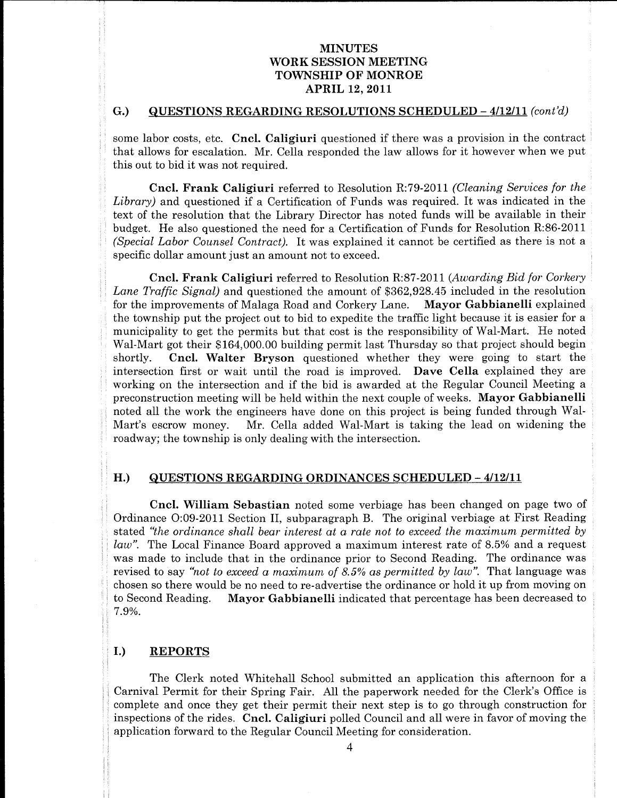# MINUTES WORK SESSION MEETING TOWNSHIP OF MONROE **APRIL 12, 2011**

# G.) QUESTIONS REGARDING RESOLUTIONS SCHEDULED  $-4/12/11$  (cont'd)  $\begin{bmatrix} \mathbf{G} \end{bmatrix}$  and  $\begin{bmatrix} \mathbf{Q} \mathbf{U} \end{bmatrix}$

some labor costs, etc. Cncl. Caligiuri questioned if there was a provision in the contract that allows for escalation. Mr. Cella responded the law allows for it however when we put

**EVALUATE SECTION CONTRACTES (FOR ALL CONTRACTES)**<br> **EVALUATE SECTION CONTRACTES**<br> **EVALUATE SECTION CONTRACTES**<br> **CONTRACTES (FOR ALL CONTRACTES (FOR ALL CONTRACTES SECTION) AND CONTRACTES (FOR ALL CONTRACTES SECTION CON** MINUTES<br>
YOUR SEESION REFITXC<br>
YOUR SEESION REFITXC<br>
YOUR SEESION REFITXC<br>
ARTHIT 12, 9011<br>
CONTROL AND THE 14, 9011<br>
CONTROL AND THE 14, 9011<br>
YOUR SEESION REFITS OF A SUBDOM SEESION REFITS ONCE INTO A SUBDOM THE SOURCE ithowever we SIDAUTES<br>
YOTK SESSION NEETTYC<br>
YOTK SENSION NEETTYC<br>
YOTK SENSION NEETTYC<br>
CONSINETED AND TRIS SENSION NEETTYC<br>
CONSINETED AND AND TRIS SENSION AND ART UNIT SENSION CONSINERED AND AND SOMETIME IN SOMETIME IN A SURFACE ON WORK SENSON WINDERS<br>
WORK SENSON WINDERS<br>
YOUR SENSON WINDERS<br>
CONTRIGENCY (PUT) (PUT) (PUT) (PUT) (PUT) (PUT) (PUT) (PUT) (PUT) (PUT) (PUT) (PUT) (PUT) (PUT) (PUT) (PUT) (PUT) (PUT) (PUT) (PUT) (PUT) (PUT) (PUT) (PUT) (P VOOLK SEESIROV MEETING<br>
YOOKK SEESIROV MEETING<br>
YOOKK SEESIROV MEETING<br>
YOOKK SEESIROV MEETING<br>
CONCLINE TITLE AT 2011<br>
Conclined A second and the second and the second and the second and the second and the second and the WORK SERVICES (WORK SERVICES (WORK SERVICES CHEFRENCES)<br>
TO ARRESSION METERS (WORK SERVICES) (SERVICES CHEFRENCES) (SERVICES CHEFRENCES) (SERVICES SERVICES SERVICES CHEFRENCES) (SERVICES SERVICES CHEFRENCES) (SERVICES CHE **MORE SERIES (MORE AND ARTISTS)**<br>**MORE SERIES (MORE AND ARTISTS)**<br>**MORE SERIES (MORE AND ARTISTS)**<br>**CONTRESS (TECHA) ARTISTS)**<br>**CONTRESS RECONDING (THE UNITED ATTACTS)**<br>**SERIES ARTISTS ARTISTS)**<br>**SERIES ARTISTS ARTISTS AR MOULTZES**<br>
MOUR SERIENCE TRANSITION (FIRED AND METERS)<br>
THE CHARTER SERIES AND METERS (FIRED AND METERS). THE CHARTER SERIES AND AND THE CHARTER SERIES AND RESPONSE TO A SUBMISSION CONTINUES AND RESPONSE TO A 1999 A 1999 **MOULTZES**<br>
MOUR SERIENCE TRANSITION (FIRED AND METERS)<br>
THE CHARTER SERIES AND METERS (FIRED AND METERS). THE CHARTER SERIES AND AND THE CHARTER SERIES AND RESPONSE TO A 1990 (FIRED AND METERS) and the series of the seri MOUNTERS<br>
YOUK SESSION MEETING<br>
YOUK SESSION MEETING<br>
YOUK SESSION MEETING<br>
YOUK SESSION MEETING<br>
YOUK SESSION MEETING<br>
CONTRIGUES TRENATIONS RECORDING TO THE CONTRIGUES CONTRIGUES TO THE SOMETIME OF THE SOMETIME CONTRIGU **WORK SERIOUS METATES (FOR ALTERNATIVES)**<br> **WORK SERIOUS METATIVES**<br> **WORK SERIOUS METATIVES**<br> **CONTEXT (FOR ALTERNATIVES)**<br> **CONTEXT (FOR ALTERNATIVES)**<br> **SERIOUS RECORDING CONTEXT (FOR ALTERNATIVES)**<br> **SERIOUS RECORDING MONE THE MANUS PRODUCTS**<br> **MONE SESSION MEETING**<br> **MONE SESSION MEETING**<br> **MONE SESSION MEETING**<br> **CONTRETTS**<br> **CONTRETTS**<br> **CONTRETTS**<br> **CONTRETTS**<br> **CONTRETTS**<br> **CONTRETTS**<br> **CONTRETTS**<br> **CONTRETTS**<br> **CONTRETTS**<br> **CONT** WORK SERIOUS MEETING (1971) 2001 112 (1971) 113 (1972) 113 (1972) 114 (1972) 114 (1972) 114 (1972) 114 (1972) 114 (1972) 114 (1972) 114 (1972) 114 (1972) 114 (1972) 114 (1972) 114 (1972) 114 (1972) 114 (1972) 114 (1972) 1 **SECURE THE MANUS PRODUCT CONSULTERED**<br>
STRAIN THE MANUS PROPERTY (SCIENCING TO THE MANUS PROTECTION CONSULTERED THE MANUS PROPERTY (SCIENCING THE MANUS PROTECTION CONSULTERED THE MANUS PROTECTION (SCIENCING THE MANUS PRO MODE SECTIONS THE MANUATURE TO THE AND THE RESIDENCE IN A 2001 INTERFERENCE IN A 2001 AND THE UNIT PAPER IS the main of the fact of the fact of the fact of the fact of the fair paperwork of the fact of the fact of the fac

H.) QUESTIONS REGARDING ORDINANCES SCHEDULED -4/12/11<br>
Cncl. William Sebastian noted some verbiage has been changed on page two of<br>
crdimence Oco-2011 Section II, subparagraph B. The original verbiage at First Reading<br>
st

that

l. is

to the control of the control of the control of the control of the control of the control of the control of the

in the contract of the contract of the contract of the contract of the contract of the contract of the contract of the contract of the contract of the contract of the contract of the contract of the contract of the contrac

of the contract of the contract of the contract of the contract of the contract of the contract of the contract of

of the contract of the contract of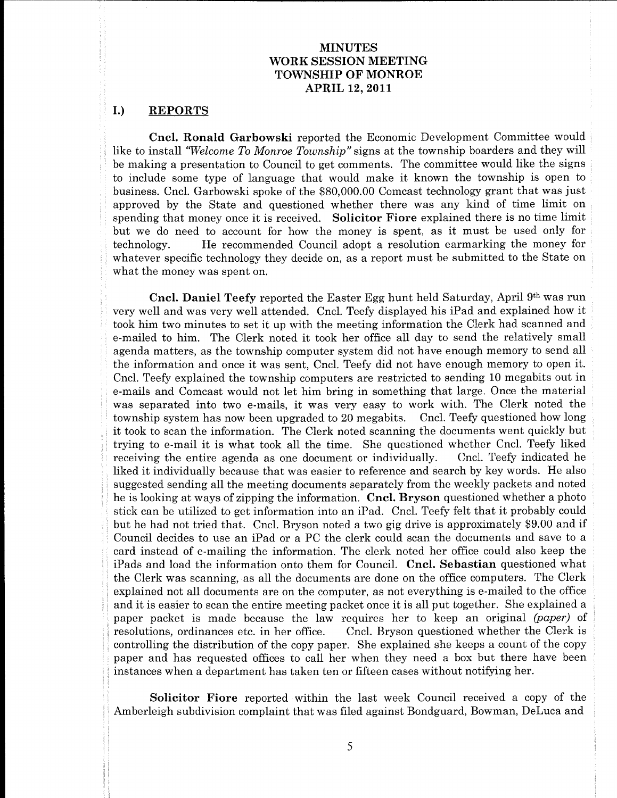# MINUTES WORKSESSION MEETING TOWNSHIP OF MONROE **APRIL 12, 2011**

# I.) REPORTS

to the control of the control of the control of the control of the control of the control of the control of the

of the contract of the contract of the contract of the contract of the contract of

Political Co

et a

Clerk

eis

Cncl. Ronald Garbowski reported the Economic Development Committee would like to install "Welcome To Monroe Township" signs at the township boarders and they will be making a presentation to Council to get comments. The committee would like the signs to include some type of language that would make it known the township is open to MINUTES<br>
WORK SESSION MEETING<br>
TOWNSHIP OF MONROE<br>
APRIL 12, 2011<br>
1.) REPORTS<br>
Cncl. Ronald Garbowski reported the Economic Development Committee would<br>
like to install "Welcome To Monroe Township" signs at the township b

MINUTES words assumed to the MNISS of the MNISS of the MNISS of the MNISS of the MNISS of the MNISS of the MNISS of the MNISS of the MNISS of the MNISS of the MNISS of the MNISS of the MNISS of the MNISS of the MNISS of t WORK MINUTES<br>
YOUR MINUTES<br>
YOUR MINUTES<br>
YOUR MINUTES<br>
YOUR MINUTES<br>
YOUR MINUTES<br>
YOUR MINUTES<br>
YOUR MINUTES<br>
YOUR MINUTES<br>
YOUR MINUTES<br>
LEAD ART TRIVIES (SOME ART TRIVIES) AND TRIVIES (SOMETIME TO AN INTERFERENCE IN T SINGURES TOWARTIES TO MONEMATION CONTRACT CONTRACT CONTRACT CONTRACT CONTRACT CONTRACT CONTRACT CONTRACT CONTRACT CONTRACT CONTRACT CONTRACT CONTRACT CONTRACT CONTRACT CONTRACT CONTRACT CONTRACT CONTRACT CONTRACT CONTRACT MEUTER MORE SERVIC VIRTITES (WINTERS MONTENO )<br>
TOWNSTIF ON MEND 15, 4011<br>
COMMISSION OF MEND 15, 4011<br>
Contain Leaders and the Mendinic Development Concentric words<br>
11. In the mission of Adependix reports the European C WORK SEENOW MENTENS<br>
YORK SEENOW MENTENS<br>
YORK SEENOW MENTENS<br>
YORK SEENOW MENTENS<br>
IT CONTENT TO NATURE 1870<br>
IT CONTENT TO NATURE 1870<br>
IT CONTENT TO NATURE 1870<br>
IN ARTICULAR CONTENT OF PROPERTIES THEOREM IS AN INTERFE VOOR SEPSOON TOWARD THE CONDUCTES<br>TOWARD TOWARD TOWARD TOWARD TOWARD TOWARD TOWARD TOWARD TOWARD TOWARD TOWARD TOWARD TOWARD TOWARD TOWARD TOWARD TOWARD TOWARD TOWARD TOWARD TOWARD TOWARD TOWARD TOWARD TOWARD TOWARD TOWAR **NOOKENSIMON INVERSE CONTRACTES CONTRACT CONTRACT CONTRACT CONTRACT CONTRACT CONTRACT CONTRACT CONTRACT CONTRACT CONTRACT CONTRACT CONTRACT CONTRACT CONTRACT CONTRACT CONTRACT CONTRACT CONTRACT CONTRACT CONTRACT CONTRACT** WORKSENSOO MENTENG<br>
WORKSENSOO MENTENG<br>
YONKSENSOO MENTENG<br>
YONKSENSOO MENTENG<br>
YONKSENSOO MENTENG<br>
YONKSENSOO MENTENG<br>
YONKSENSOO MENTENG<br>
LAD ESTERIT TRANSISSION MENTENG<br>
LAD ESTERIT TRANSISSION (FOR THE START TRANSISSI **ELEETING**<br> **ELEETING**<br> **CONROE**<br> **CONROE**<br> **CONROE**<br> **CONROE**<br> **CONROE**<br> **CONROE**<br> **CONROE**<br> **CONROE**<br> **CONROE**<br> **CONROE**<br> **CONROE**<br> **CONROE**<br> **CONROE**<br> **CONROE**<br> **CONROE**<br> **EVALUATE CONTAINE CONTAINE <br>
<b>CONROE**<br> **CONROE** and misseur on e-manurigue intermedion. The cark note that the content of the content of the computers. The Clark was scanning, as all the documents are done on the office computers. The Clerk explained not all columents a JTES PINON MEETING<br>
THES DN MEETING<br>
DP RONCOE PRONCOE CHEM CONTIFICATION CONCOE CHEM AND SET (20.11<br>
alger at the township boarders and they will<br>
alger an the town inter boarding is open to finic on the localization of **NORKE SESSION METRIX**<br> **EVALUATION**<br> **EVALUATION**<br> **EVALUATION**<br> **EVALUATION**<br> **EVALUATION**<br> **EVALUATION**<br> **EVALUATION**<br> **EVALUATION**<br> **EVALUATION**<br> **EVALUATION**<br> **EVALUATION**<br> **EVALUATION**<br> **EVALUATION**<br> **EVALUATION**<br> MINUTES <br>
WORK SISSION MERTING TOWNEOIR CONDICITES (NORTHER CONDUCT) (APRIL 12, 2011<br>
APRIL 12, 2011<br>
APRIL 12, 2011<br>
Alonze Lorenting Corresting Schemes and the commention of the comment of the comment of the comment of MINUTES MENUTES AT SETTING WAS RESERVED IN THE SET AS A SESSION MENTIME AND MONET OF MONROE APRIL 12, 2011 cpart that the non-high bar disk of the by will be positive to the contain the bar of the small is the small of th IUTES IDN MEETING<br>
10 ION MEETING<br>
10 AN MOON COP SUCATE COP SUCATE COP MONTALE the Economic Development Committee would the signs<br>  $\frac{1}{2}$  2011<br>  $\frac{1}{2}$  2011<br>  $\frac{1}{2}$  2011<br>  $\frac{1}{2}$  2011<br>  $\frac{1}{2}$  2011<br>  $\frac{1}{2}$ t Committee would<br>
arders and they will<br>
avould like the signs<br>
swanship is open to<br>
swanship is open to<br>
grant that was just<br>
d of time limit on<br>
the used only for<br>
the used only for<br>
the used only for<br>
the d to the State **NO RESPONSE THE MANUTEST CONTRACTES CONTRACTES CONTRACTES CONTRACTES CONTRACTES CONTRACTES CONTRACTES CONTRACTES CONTRACTES CONTRACTES CONTRACTES CONTRACTES CONTRACTES CONTRACTES CONTRACTES CONTRACTES CONTRACTES CONTRACT** VOIR MENUTES<br>
VOIR MENUTES<br>
VOIR MENUTES<br>
VOIR MENUTES<br>
TON ARTIO 18 (1990) NORTHON<br>
TIPOTENTS<br>
1990 ARTIO 18 (2000) NORTHON<br>
1990 ARTIO 18 (2000) NORTHON (1990) ARTIO 18 (2000) NORTHON DRIVER'S<br>
1990 ARTIO 18 (2000) ARTI WORK SEENOW MENTENS<br>
YORK SEENOW MENTENS<br>
YORK SEENOW MENTENS<br>
YORK SEENOW MENTENS<br>
YORK SEENOW MENTENS<br>
IS CONTRIGUES TO A SEENOW MENTENS<br>
IS A CONFIRMENT (SEENOW MENTENS TO AN INTERFERENCE INTERFERENCE INTERFERENCE IN T township mmittee would<br>is and they will<br>dike the signs<br>ship is open to<br>that was just<br>if time limit on<br>is no time limit on<br>is no time limit on<br>it as no time limit of<br>the money for<br>to the State on<br>pril 9<sup>th</sup> was run<br>xylained how it<br>a enough a region of the source of the source of the source of the source of the source of the source of the source of the source of the source of the source of the source of the source of the source of the source of the sou SIMPLIFTES TOWARD HIGHERS (SOMETHING)<br>
NORMANDIE COMMUNISTEE TO MONDELES TO MONDELES TO MONDELES TO MONDELES ARE CONSULTED AND ARE CONSULTED AND ARE CONSULTED UNLOCK (SECRET AND ASSESS TO A 1999 TO BE IN FIGURE 10. THE CO WORK SEENOWERS (WORK SEENOWERS (WORK SEENOWERS)<br>
120 VORK SEENOWERS (WORK SEENOWERS)<br>
120 VORK SEENOWERS)<br>
121 VORTEGE (SEENOWERS)<br>
121 VORTEGE (SEENOWERS)<br>
121 VORTEGE (SEENOWERS)<br>
131 VORTEGE (SEENOWERS)<br>
132 VORTEGE (S **EXAMPLE 12. WANTER CONSUMPATION** INTERFERENCE IN A SURFACE INTERFERENCE IN A SURFACE IN A SURFACE IN A SURFACE IN A SURFACE INTERFERENCE INTERFERENCE INTERFERENCE INTERFERENCE INTERFERENCE INTERFERENCE INTERFERENCE INT MINUTES<br>
SINCORES TONES TRONSFIRMS<br>
TOWNSTRIPS TO APPRICATE THE SHOW MONETHER TO CONTINUES TO THE SHOW MONETHER TO THE SHOW AND TRIVIAL TO CONTINUES THE SHOW OF THE SHOW OF THE SHOW OF THE SHOW OF THE SHOW OF THE SHOW OF **NOOKES FOR ASSEMBATION**<br>
NOOKESINSHOW MENTING<br>
TOWNSHIPS TOWNSHIPS TOWN ASSEMBATION<br>
TOWNSHIPS TOWNSHIPS TOWNSHIPS TOWNSHIPS TOWNSHIPS TOWNSHIPS TOWNSHIPS TOWNSHIPS TOWNSHIPS TOWNSHIPS TOWNSHIPS TO THE SAME ASSEMBATION C MONE SERIES CONTRACTES TROMATION (MINUTES TROMATION)<br>
TOWNSENSITY (OR ASSESSION MENTING)<br>
TOWNSENSITY (TOWNSENSITY) (TOWNSENSITY) (TOWNSENSITY) (TOWNSENSITY) (TOWNSENSITY) (TOWNSENSITY) (TOWNSENSITY) (TOWNSENSITY) (TOWNSE MONE SERIES CONTRACTES (MONE SERIES) CONTRACTES (MONE SERIES) CONTRACTES (MONE SERIES) CONTRACTES (MONE SERIES) CONTRACTES (MONE SERIES) CONTRACTES (MONE SERIES) CONTRACTES (MONE SERIES) CONTRACTES (MONE SERIES) CONTRACTE VAINOTES<br>
YOUNGERSINYO TOWNSHIN' CONTENUES (SOMETHENCE)<br>
TOWNSHIN' ON WASHIN' CONTENUES (SOMETHENCE)<br>
DETERMINENT (SOMETHENCE)<br>
DETERMINENT (SOMETHENCE)<br>
DETERMINENT (SOMETHENCE)<br>
DETERMINENT PROPERTIES (SOMETHENCE)<br>
DETE WORKSENSON MENTERS<br>
WORKSENSON MENTENG<br>
TOWNSENSON MENTENG<br>
TOWNSENSON MENTENG<br>
COMPROSITIES<br>
COMPROSITIES<br>
COMPROSITIES<br>
LATERATIVE STATISTICS TOWNSENS CONTINUES<br>
LATER COMPROSITIES TOWNSENS CONTINUES INTO A SUMMARY STAT **MYETTES**<br> **MYETTES**<br> **MYETHERS**<br> **MYETHERS**<br> **MYETHERS**<br> **MYETHERS**<br> **CONTRIGUEST** (**PHOTESTING**)<br> **CONTRIGUEST** (**PHOTESTING**)<br> **CONTRIGUEST**<br> **CONTRIGUEST**<br> **CONTRIGUEST**<br> **CONTRIGUEST**<br> **CONTRIGUEST**<br> **CONTRIGUEST**<br> WORK SENSION MINUTES (WAS RESSION MINUTES)<br>
YOTA RESSION MENTING<br>
YOTA RESSION MENTING<br>
YOTA RESSION MENTING<br>
YOTA RESSION MENTING<br>
YOTA RESSION MENTING<br>
LEAD RESSION MENTING<br>
LEAD RESSION MENTING SURFACE CONTINUES (FOR T MONE SERIES CONTRACTES TROMATION (MINUTES TROMATION)<br>
TOWNSENSITY (OR ASSESSION MENTING)<br>
TOWNSENSITY (TOWNSENSITY) (TOWNSENSITY) (TOWNSENSITY) (TOWNSENSITY) (TOWNSENSITY) (TOWNSENSITY) (TOWNSENSITY) (TOWNSENSITY) (TOWNSE **NOTE ASSEMATE AND AN ARTISTS THE MANUAL METAL CONTRACT CONTRACT CONTRACT CONTRACT CONTRACT CONTRACT CONTRACT CONTRACT CONTRACT CONTRACT CONTRACT CONTRACT CONTRACT CONTRACT CONTRACT CONTRACT CONTRACT CONTRACT CONTRACT CON** MONE SERVICE STRAIN CONTRESS TO MELLON TRIVIAL CONTRESS TO MELLON CONTRESS TO MELLON ARTISTS TO THE CONTRESS TO THE CONTRESS TO THE CONTRESS TO THE CONTRESS TO THE CONTRESS TO A CONTRESS TO A CONTRESS TO A CONTRESS TO A C LD REPORTS<br>
1. DREPORTS<br>
1. Det learned Ashenosisk reported bestehende the<br>strong committee sould relations. To obtain a strong the mass interventions committee sould<br>
1. The transmission of the committee of the committee **NOOKENSIMON INVERSE CONTRACTES CONTRACT CONTRACT CONTRACT CONTRACT CONTRACT CONTRACT CONTRACT CONTRACT CONTRACT CONTRACT CONTRACT CONTRACT CONTRACT CONTRACT CONTRACT CONTRACT CONTRACT CONTRACT CONTRACT CONTRACT CONTRACT** WORKSENSO CONTENTING<br>
WORKSENSO VARISTENG<br>
YONKSENSO VARISTENG<br>
YONKSENSO VARISTENG<br>
YONKSENSO VARISTENG<br>
YONKSENSO VARISTENG<br>
YONKSENSO VARISTENG<br>
LABORITED TRANSPORTER TRANSPORTER TRANSPORTER TRANSPORTER CONTEXTS WERE<br> MEUTES WORKSEESSION MENTENG (WEIGHT AND MENTENG MENTENG TO MONDEM ON MONDEM CONDUCTION AND ARTISTS.<br>
1. Conel. Iteration discusses are the cone of the cone of the cone of the serves and the serves and the serves of the se **NOOKENSIMON INSURES (EXPRESS)**<br>**NOOKENSIMON MENTING**<br>**NOOKENSIMON MENTING**<br>**NOOKENSIMON MENTING**<br>**NOOKENSIMON MENTING**<br>**NOOKENSIMON MENTING**<br>**NOOKENSIMON MENTING**<br>**NOOKENSIMON MENTING**<br>**NOOKENSIMON MENTING**<br>**NOOKENSIMON NOOKENSIMON INVERSE CONTRACTES (VALUES)**<br>**NOOKENSIMON MENTING**<br>**TOWNSHIPS (VALUES)**<br>**TOWNSHIPS (VALUES)**<br>**TOWNSHIPS (VALUES)**<br>**TOWNSHIPS (VALUES)**<br>**EFFECTION AND IT LEADERS**<br>**I.E. Consider a second of a second interactio INNUTERE SECTION TO A SECTION TENDENTIES (SECTION TO ANTIFICION TO MONDRETTING)**<br> **IDENTIFY (SECTION TO ANTIFICION TO ANTIFICION TO ANTIFICION TO ANNOUNCE CONDUCT TO ANNOUNCE (SECTION TO AN ARTIST)**<br> **IDENTIFY (SECTION T EXAMPLE 12.5**<br> **WORK-RESSION MENTING**<br> **TOWNSHIPS 10.00**<br> **TOWNSHIPS 10.00**<br> **TOWNSHIPS 10.00**<br> **TOWNSHIPS 10.00**<br> **COMPROVISHER 10.000**<br> **COMPROVISHES 10.0000**<br> **COMPROVISHES 10.000000**<br> **EXAMPLE 20.00000000000000000000** SINGURES TRANSFERIORS TRANSFERIORS TRANSFERIORS TRANSFERIORS TRANSFERIORS TRANSFERIORS TRANSFERIORS TRANSFERIORS TRANSFERIORS TRANSFERIORS TRANSFERIORS TRANSFERIORS TRANSFERIORS TRANSFERIORS TRANSFERIORS TRANSFERIORS TRAN **MINUTES**<br> **EECSION MEETING**<br> **EFIRIC 2011**<br> **EFIN 2011**<br> **EFIN 2011**<br> **PRIL 12, 2011**<br> **PRIL 12, 2011**<br> **Condents.** The committee would like the signs get comments. The committee would like the signs<br>
at would make it kn MINUTES EESSION MEETING<br>
EESSION MEETING<br>
HHIP OF MONROE<br>
HHIP OF MONROE<br>
PRIL 12, 2011<br>
2011<br>
2011<br>
2011<br>
2011<br>
2011<br>
2011<br>
2011<br>
2011<br>
2011<br>
2011<br>
2011<br>
2011<br>
2011<br>
2011<br>
2010: Comparate Revorsing phased and the will ha **NOTE ASSEMATE AND INTERFECT ON A SURFACE INTERFECT ON A SURFACE IN A SURFACE IN A SURFACE IN A SURFACE IN A SURFACE IN A SURFACE INTERFECT ON A SURFACE INTERFECT ON A SURFACE INTERFECT ON A SURFACE INTERFECT ON A SURFACE NOOKENSIMON INSURES (EXPRESS)**<br>**NOOKENSIMON MENTING**<br>**NOOKENSIMON MENTING**<br>**NOOKENSIMON MENTING**<br>**NOOKENSIMON MENTING**<br>**NOOKENSIMON MENTING**<br>**NOOKENSIMON MENTING**<br>**NOOKENSIMON MENTING**<br>**NOOKENSIMON MENTING**<br>**NOOKENSIMON EXAMPLE 12. WANTER CONSUMPATION** INTERFERENCE INTERFERENCE CONSUMERATION CONSUMERATION CONSUMERATION CONSUMERATION CONSUMER TRANSPORTED TO A CONSUMER TRANSPORTED TO A CONSUMER TRANSPORTED TO A CONSUMER TRANSPORTED TO A **NINUTES**<br>
WORK SESSION MEETING<br>
TOWNSHIP OF MONKOE TOWNSHIP OF MONKOE TOWNSHIP OF MONKOE APPLIES<br>
2. THE A ROBALD CONGER (2.2011)<br>
RATIS CONGER (2.2012)<br>
RATIS CONGER (2.2012)<br>
THE CONGER (2.2012)<br>
THE CONGER CONGER (2.2 **WORK SERIOUSE TOWARD INTERFERIOR CONTINUES.**<br> **WORK SERIOUSE TOWARD INTERFERIOR CONTINUES.**<br> **PERIODICITY CONTINUES.**<br> **CONTINUES.**<br> **CONTINUES.**<br> **CONTINUES.**<br> **CONTINUES.**<br> **CONTINUES.**<br> **CONTINUES.**<br> **CONTINUES.**<br> **CO** ES MEETING<br>
MEETING MOREMONIC MONDERO MONDERO MONDERO MONDERO CONTENTS (2011)<br>
2011<br>
2011<br>
2011<br>
2011<br>
2011<br>
2011<br>
2011<br>
2011<br>
2011<br>
2011<br>
2011<br>
2011<br>
2011<br>
2011<br>
2011<br>
2012<br>
2012<br>
2012<br>
2010 Comest technology grant that **NOOKENSIMO CONTRACTES CONTRACTIVE (VALUE)**<br>**NOOKENSIMO MENTING**<br>**NOOKENSIMO MENTING**<br>**NOOKENSIMO MENTING**<br>**NOOKENSIMO MENTING**<br>**NOOKENSIMO MENTING**<br>**NOOKENSIMO MENTING**<br>**NOOKENSIMO MENTING**<br>**NOOKENSIMO MENTING**<br>**NOOKENSI** VORK SEISSION BIEFITES<br>
YORK SEISSION BIEFITES<br>
YORK SEISSION BIEFITES<br>
YORK SEISSION BIEFITES<br>
YORK SEISSION BIEFITES<br>
TO WEIGHT THE THE SPIN CONTROL COMMUNITY (SECTION AND THE SPIN CONTROL COMMUNITY (SECTION AND THE SPI VIVATERS<br>
VIVATE STATIVE STATIVES (TOWATHES)<br>
TOWATHET CONVENION (TOWATHES)<br>
LEMENCIES<br>
12000 COM COMENTIFIC STATIVE AND AND COMENTIFIC STATIVE AND COMENTIFIC STATISTIC COMENTIFIC STATISTIC COMENTIFIC STATISTIC COMENTIFIC MNUTTER WORKSEESSION MERTING<br>
YOUNGERISSION MERTING<br>
YOUNGERISSION MERTING<br>
YOUNGERISSION MERTING<br>
YOUNGERISSION MERTING<br>
YOUNGERISSION MERTING<br>
THE 12, 2011<br>
Second Road Properties (2) And 2) and 2)<br>
In collecting the Co **NOOKENSIMON INVERSE CONTRACTES CONTRACT CONTRACT CONTRACT CONTRACT CONTRACT CONTRACT CONTRACT CONTRACT CONTRACT CONTRACT CONTRACT CONTRACT CONTRACT CONTRACT CONTRACT CONTRACT CONTRACT CONTRACT CONTRACT CONTRACT CONTRACT** WORK SEESS ON MINUTES (WINCHESS TWO MINUTES (WINCHESS)<br>
YOYIN SEESS ON MINUTES (THE ASSOCIATE STATE) (THE ASSOCIATE STATE AND A STATE OF A STATE OF A STATE OF A STATE OF A STATE OF A STATE OF A STATE OF A STATE OF A STATE Council decides to use an iPad or a PC the clerk could scan the documents and save to a<br>card instead of e-mailing the information. The clerk noted her office could also keep the<br>iPads and load the information onto them fo **NOTE ASSEMATE AND AN ARTISTS THE MANUAL METAL CONTRACT CONTRACT CONTRACT CONTRACT CONTRACT CONTRACT CONTRACT CONTRACT CONTRACT CONTRACT CONTRACT CONTRACT CONTRACT CONTRACT CONTRACT CONTRACT CONTRACT CONTRACT CONTRACT CON NOOKENSIMON INSURES (EXPRESS)**<br>**NOOKENSIMON MENTING**<br>**TOWNSHIPS (EXPRESS)**<br>**TOWNSHIPS (EXPRESS)**<br>**TOWNSHIPS (EXPRESS)**<br>**TOWNSHIPS (EXPRESS)**<br>**TOWNSHIPS (EXPRESS)**<br>**TOWNSHIPS (EXPRESS)**<br>**EXPRESS)**<br>**EXPRESS** (EXPRESS)<br>**EXP** MINUTES WORKSENSON MENTIES<br>
WORKSENSON MENTIES<br>
TOWNSHIVE ON THE SET ON THE SET ON THE SET ON THE SET ON THE SET ON THE SET ON THE SET ON THE SET ON THE SET ON THE SET ON THE SET ON THE SET ON THE SET ON THE SET ON THE SE **EXAMPLE 12. WE ARE THE CONSULTER CONTRACTS CONTRACTS CONTRACTS CONTRACTS CONTRACTS CONTRACTS CONTRACTS CONTRACTS CONTRACTS CONTRACTS CONTRACTS CONTRACTS CONTRACTS CONTRACTS CONTRACTS CONTRACTS CONTRACTS CONTRACTS CONTR** WORK SEESS ON MINUTES (WINCHESS TWO MINUTES (WINCHESS)<br>
TOWNSERS ON MINUTES (THE ASSOCIATE STATE) (THE ASSOCIATE STATE AND A STATE OF A STATE OF A STATE OF A STATE OF A STATE OF A STATE OF A STATE OF A STATE OF A STATE OF **NOOKENSIDENTEES**<br> **NOOKENSIDENTEES**<br> **NOOKENSIDENTEES**<br> **NOOKENSIDENTEES**<br> **CONFERENCE CONFERENCE CONFERENCE CONFERENCE CONFERENCE CONFERENCE CONFERENCE CONFERENCE CONFERENCE CONFERENCE CONFERENCE CONFERENCE CONFERENCE C** 

paper and has requested offices to call fler when they heed a box out there have been<br>instances when a department has taken ten or fifteen cases without notifying her.<br>Solicitor Fiore reported within the last week Council

information

the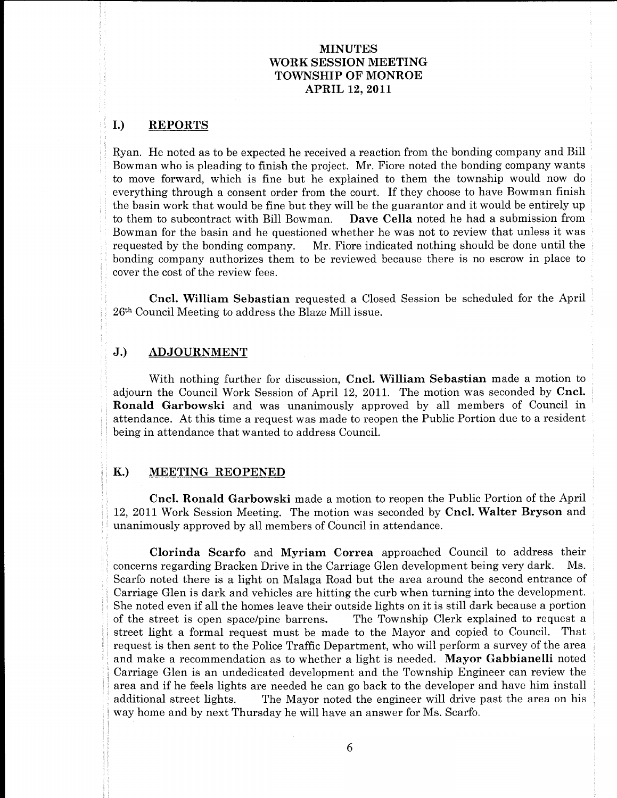# MINUTES WORKSESSION MEETING TOWNSHIP OF MONROE **APRIL 12, 2011**

## I.) REPORTS

to

a

outside the contract of the

 $\label{eq:3.1} \begin{aligned} \mathcal{L}_{\text{in}}(\mathcal{L}_{\text{in}}) &= \mathcal{L}_{\text{in}}(\mathcal{L}_{\text{in}}) \\ \mathcal{L}_{\text{in}}(\mathcal{L}_{\text{in}}) &= \mathcal{L}_{\text{in}}(\mathcal{L}_{\text{in}}) \\ \mathcal{L}_{\text{in}}(\mathcal{L}_{\text{in}}) &= \mathcal{L}_{\text{in}}(\mathcal{L}_{\text{in}}) \\ \mathcal{L}_{\text{in}}(\mathcal{L}_{\text{in}}) &= \mathcal{L}_{\text{in}}(\mathcal{L}_{\text{in}}) \\ \mathcal{L}_{\text{in}}(\mathcal$ 

and the contract of the contract of the contract of the contract of the contract of the contract of the contract of to the control of the control of the control of the control of the control of the control of the control of the

Ryan. He noted as to be expected he received a reaction from the bonding company and Bill Bowman who is pleading to finish the project. Mr. Fiore noted the bonding company wants MNUTES<br>SSION MEETING<br>SSION MEETING<br>HP OF MONROE<br>RIL 12, 2011<br>iyed a reaction from the bonding company wants<br>explained to them the township would now do<br>the court. If they choose to have Bowman finish<br>the curt. If they choo MINUTES<br>
WORK SESSION MEETING<br>
TOWNSHIP OF MONROE<br>
APRIL 12, 2011<br>
1.) REPORTS<br>
Ryan. He noted as to be expected he received a reaction from the bonding company and Bill<br>
Rowman who is ploading to finish the project. My Fi

MINUTEST MONETARG THEORY AND THE SECTION AND TRIVIAL IN A SUMMATION CONTRIBUTION CONTRIBUTION AND MANUFACTURE CONTRIBUTION IN A SUMMATION CONTRIBUTION (FOR A SUMMATION CONTRIBUTION CONTRIBUTION CONTRIBUTION CONTRIBUTION ( and Bill<br>ty wants<br>now do<br>an finish<br>tirely up<br>ion from<br>ss it was<br>until the<br>place to<br>he April<br>the April<br>total in resident<br>to the April<br>resident<br>terming in resident<br>the April<br>son and<br>ss their<br>the April<br>son and<br>ss their<br>the Ap VOID MESSING METHES<br>
YOUR SENSION MEETING<br>
TOWARD TOWARD TOWARD TO AN EXAMPLE TOWARD TO MANUELE TO MANUELE TO MANUELE AND AN AND THE SET IN THE SET IN THE SET IN THE SET IN THE SET IN THE SET IN THE SET IN THE SET IN THE MINUTES<br>
MINUTES<br>
ESISSION MEETING<br>
ERIL 12, 2011<br>
Figure OF MONROE<br>
PRIL 12, 2011<br>
Figure OF MONROE<br>
FILE 12, 2011<br>
Figure of the broad the broading company wand Bill<br>
experiments and it would be entimated to them the tow MINUTES<br>
MORE SENSION MEETING<br>
TOWNERSTON ON EXTREMENT (NG<br>
TOWNERSTON MEETING<br>
TOWNERSTON MEETING<br>
TOWNERSTON MEETING<br>
LED TREAT ASSOCIATE TO MONETARY (FOR THE STATE AND STATE AND STATE AND STATE AND STATE AND STATE IN E WINDEED TOWERS INTO THE MANUFIES THE MANUFIES TO THE MANUFIES TO THE MANUFIES TO THE MANUFIES TO THE MANUFIES TO THE MANUFIES TO THE MANUFIES TO THE MANUFIES TO THE MANUFIES TO THE MANUFIES TO THE MANUFIES TO THE MANUFIES MINUTES (WINTERS INTO MARTING INTERFERENCE CONTRAINS IN A 1990 CONTRAINS IN A 1990 CONTRAINS IN A 1990 CONTRAINS IN A 1990 CONTRAINS INTERFERENCE (SEE A 1990 CONTRAINS INTERFERENCE CONTRAINS INTERFERENCE CONTRAINS INTERFE VOOLK SEESION MENTES<br>
TOWARD SEESION MEETING<br>
CONVERGENT CONVERGE TOWARD (TOWARD SEESION ALSO TRANSIS (TOWARD SEES)<br>
THE TRANSIS (THE TRANSIS CONCERN ALSO FINAL ARTIST)<br>
THE TRANSIS (NOTE THE TRANSIS CONCERN ALSO FINAL AR VOID MESSING MENTES<br>
TOWARD MESSING MEETING (TOWARD MESSING MEETING CONTRATION)<br>
THE LORE OF A SURVEY ASSESS AND AND THE SURVEY OF A SURVEY AND MANUSATION (THE SURVEY ASSESS) (THE SURVEY ASSESS) (THE SURVEY ASSESS) (THE S MINUTES<br>
WORKSENGON MIETING<br>
TOWNERSTROOM MIETING<br>
TOWNERSTROOM MIETING<br>
TOWNERSTROOM MIETING<br>
TOWNERSTROOM MIETING<br>
2. EXPRESSION MIETING<br>
2. EXPRESSION MIETING<br>
The mass characteristic properties of a transition of the MINUTEST MONETAIRE (MINUTEST)<br>
NORK SENSION MILITIAGE (MINUTEST)<br>
19 (MINUTEST) TOWNSHIP OF MONETAIRE (MINUTEST)<br>
19 (MINUTEST) TOWNSHIP OF MONETAIRE (MINUTEST)<br>
19 (MINUTEST)<br>
19 (MINUTEST)<br>
19 (MINUTEST)<br>
19 (MINUTEST)<br> MEUTEN (WINTERS PROFILE) (WINTERS PROFILE) (WINTERS PROFILE) (WINTERS PROFILE) (WINTERS PROFILE) (WINTERS PROFILE) (WINTERS PROFILE) (WINTERS PROFILE) (WINTERS PROFILE) (WINTERS PROFILE) (WINTERS PROFILE) (WINTERS PROFILE MINUTES TO MAKET THE CHARGE SERVICE SERVICE (SERVICE SERVICE SERVICE SERVICE SERVICE SERVICE SERVICE SERVICE SERVICE SERVICE SERVICE SERVICE SERVICE SERVICE SERVICE SERVICE SERVICE SERVICE SERVICE SERVICE SERVICE SERVICE **MINUTEST**<br> **TRAFFIC CONSULTED TOWARD INTERFERENCE AND INTERFERENCE AND INTERFERENCE AND ANNUAL CONSULTER CONSULTER AND ANNUAL CONSULTER (SEE AND A START AND A START AND A START AND A START AND INTERFERENCE AND A START AN** MINUTES<br>
WORKSENGON MIETTING<br>
TOWNERSTROOM MIETTING<br>
TOWNERSTROOM MIETTING<br>
TOWNERSTROOM MIETTING<br>
DEPODETS<br>
LETTER SECOND AND LETTER CONTINUES TOWNERST TOWNERST TOWNERST TOWNERST TOWNERST AT THE SECOND AND AND A SUMMON C VOID MARKET (2001)<br>
TOWARD SESSION MEETING (2001)<br>
TOWARD SESSION MEETING (2001)<br>
TOWARD SESSION MEETING (2001)<br>
AT HELL 24, 2011<br>
Norman when the steps from the recent descenses the recent descendent<br>
Recent descendent i MINUTES (FIGURE MINUTES (FIGURE MINUTES (FIGURE MINUTES (FIGURE MINUTES (FIGURE MINUTES) (FIGURE MINUTES (FIGURE MINUTES) (FIGURE MINUTES) (FIGURE MINUTES) (FIGURE MINUTES) (FIGURE MINUTES) (FIGURE MINUTES) (FIGURE MINUTE MINUTES (WINTERS INTERFERITY (WINTERS INTERFERITY (WINTERS INTERFERITY) (NEW ARREST ON MONETABLE SURVEY) (NEW ARREST ON MONETABLE SURVEY) (NEW ARREST ON THE SURVEY) (NEW ARREST ON THE SURVEY) (NEW ARREST ON THE SURVEY) (N